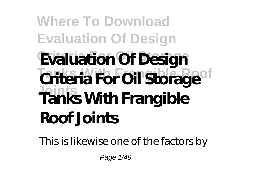# **Where To Download Evaluation Of Design Criteria For Oil Storage Evaluation Of Design Criteria For Oil Storage Joints Tanks With Frangible Roof Joints**

This is likewise one of the factors by

Page 1/49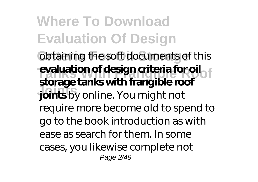**Where To Download Evaluation Of Design** obtaining the soft documents of this **Tanks With Frangible Roof evaluation of design criteria for oil Joints joints** by online. You might not **storage tanks with frangible roof** require more become old to spend to go to the book introduction as with ease as search for them. In some cases, you likewise complete not Page 2/49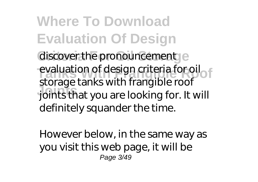**Where To Download Evaluation Of Design** discover the pronouncement<sub>]</sub> e evaluation of design criteria for oil of **Joints** joints that you are looking for. It will storage tanks with frangible roof definitely squander the time.

However below, in the same way as you visit this web page, it will be Page 3/49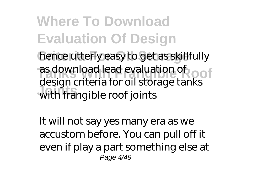**Where To Download Evaluation Of Design** hence utterly easy to get as skillfully as download lead evaluation of oof **Joints** with frangible roof joints design criteria for oil storage tanks

It will not say yes many era as we accustom before. You can pull off it even if play a part something else at Page 4/49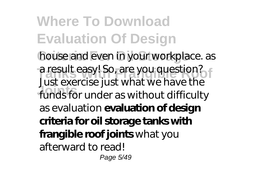**Where To Download Evaluation Of Design** house and even in your workplace. as a result easy! So, are you question? **Joints** funds for under as without difficulty Just exercise just what we have the as evaluation **evaluation of design criteria for oil storage tanks with frangible roof joints** what you afterward to read! Page 5/49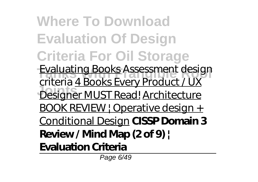**Where To Download Evaluation Of Design Criteria For Oil Storage Tanks With Frangible Roof** Evaluating Books *Assessment design* **Joints** Designer MUST Read! Architecture *criteria* 4 Books Every Product / UX BOOK REVIEW | Operative design + Conditional Design **CISSP Domain 3 Review / Mind Map (2 of 9) | Evaluation Criteria** Page 6/49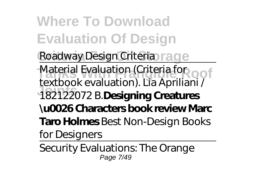**Where To Download Evaluation Of Design** Roadway Design Criteria rage **Material Evaluation (Criteria for oof Joints** 182122072 B.**Designing Creatures** textbook evaluation). Lia Apriliani / **\u0026 Characters book review Marc Taro Holmes** *Best Non-Design Books for Designers*

Security Evaluations: The Orange Page 7/49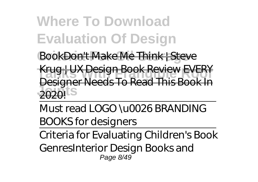**Where To Download Evaluation Of Design**

Book<del>Don't Make Me Think | Steve</del>

**Tanks With Francis Control Control Property Roof Joints** <del>: UX Design Book Review E</del> Designer Needs To Read This Book In 2020!

Must read LOGO \u0026 BRANDING BOOKS for designers

Criteria for Evaluating Children's Book

Genres*Interior Design Books and* Page 8/49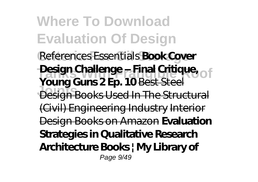**Where To Download Evaluation Of Design Criteria For Oil Storage** *References Essentials* **Book Cover Tanks With Francis Critique, of Joints** Design Books Used In The Structural Young Guns 2 Ep. 10 Best Steel (Civil) Engineering Industry Interior Design Books on Amazon **Evaluation Strategies in Qualitative Research Architecture Books | My Library of** Page 9/49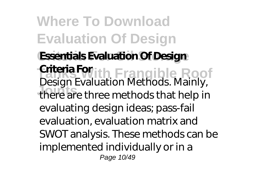**Where To Download Evaluation Of Design Criteria For Oil Storage Essentials Evaluation Of Design Priteria For** ith Frangible Roof **Joints** there are three methods that help in Design Evaluation Methods. Mainly, evaluating design ideas; pass-fail evaluation, evaluation matrix and SWOT analysis. These methods can be implemented individually or in a Page 10/49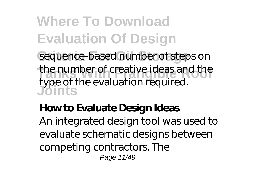**Where To Download Evaluation Of Design** Sequence-based number of steps on the number of creative ideas and the **Joints** type of the evaluation required.

#### **How to Evaluate Design Ideas**

An integrated design tool was used to evaluate schematic designs between competing contractors. The Page 11/49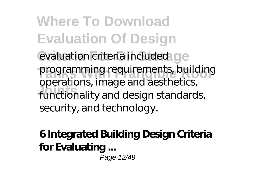**Where To Download Evaluation Of Design** evaluation criteria includeda ge programming requirements, building **Joints** functionality and design standards, operations, image and aesthetics, security, and technology.

#### **6 Integrated Building Design Criteria for Evaluating ...** Page 12/49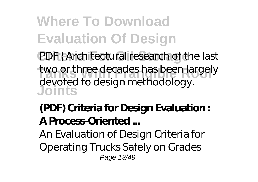**Where To Download Evaluation Of Design** PDF | Architectural research of the last two or three decades has been largely **Joints** devoted to design methodology.

### **(PDF) Criteria for Design Evaluation : A Process-Oriented ...**

An Evaluation of Design Criteria for Operating Trucks Safely on Grades Page 13/49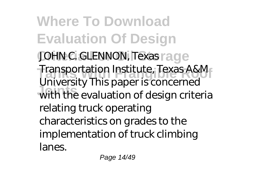**Where To Download Evaluation Of Design JOHN C. GLENNON, Texasrage Transportation Institute, Texas A&M Joints** with the evaluation of design criteria University This paper is concerned relating truck operating characteristics on grades to the implementation of truck climbing lanes.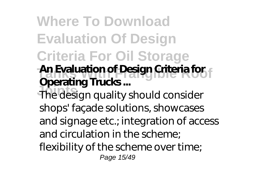## **Where To Download Evaluation Of Design Criteria For Oil Storage**

### **Tanks With Frangible Roof An Evaluation of Design Criteria for Operating Trucks ...**

**Joints** The design quality should consider shops' façade solutions, showcases and signage etc.; integration of access and circulation in the scheme; flexibility of the scheme over time;

Page 15/49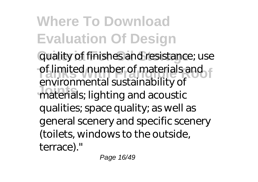**Where To Download Evaluation Of Design** quality of finishes and resistance; use of limited number of materials and **Joints** materials; lighting and acoustic environmental sustainability of qualities; space quality; as well as general scenery and specific scenery (toilets, windows to the outside, terrace)."

Page 16/49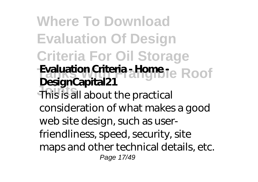**Where To Download Evaluation Of Design Criteria For Oil Storage Evaluation Criteria - Home te Roof Joints** This is all about the practical **DesignCapital21** consideration of what makes a good web site design, such as userfriendliness, speed, security, site maps and other technical details, etc. Page 17/49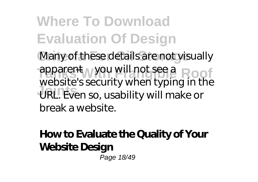**Where To Download Evaluation Of Design** Many of these details are not visually apparent—you will not see a Roof **Joints** URL. Even so, usability will make or website's security when typing in the break a website.

#### **How to Evaluate the Quality of Your Website Design** Page 18/49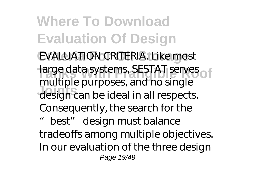**Where To Download Evaluation Of Design Criteria For Oil Storage** EVALUATION CRITERIA. Like most large data systems, SESTAT serves of **Joints** design can be ideal in all respects. multiple purposes, and no single Consequently, the search for the "best" design must balance tradeoffs among multiple objectives. In our evaluation of the three design Page 19/49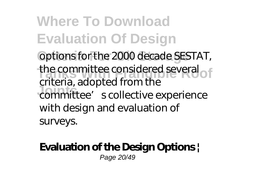**Where To Download Evaluation Of Design Criteria For Oil Storage** options for the 2000 decade SESTAT, the committee considered several of **Joints** committee's collective experience criteria, adopted from the with design and evaluation of surveys.

#### **Evaluation of the Design Options |** Page 20/49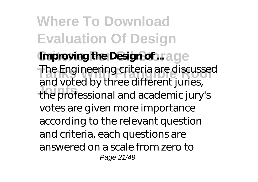**Where To Download Evaluation Of Design Improving the Design of ...** age The Engineering criteria are discussed **Joints** the professional and academic jury's and voted by three different juries, votes are given more importance according to the relevant question and criteria, each questions are answered on a scale from zero to Page 21/49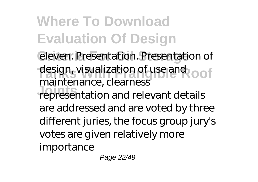**Where To Download Evaluation Of Design Criteria For Oil Storage** eleven. Presentation. Presentation of design, visualization of use and oof **Joints** representation and relevant details maintenance, clearness are addressed and are voted by three different juries, the focus group jury's votes are given relatively more importance

Page 22/49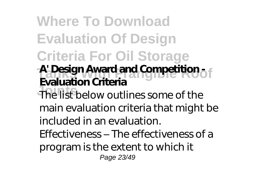## **Where To Download Evaluation Of Design Criteria For Oil Storage**

### **Tanks With Frangible Roof A' Design Award and Competition - Evaluation Criteria**

**Joints** The list below outlines some of the main evaluation criteria that might be included in an evaluation.

Effectiveness – The effectiveness of a program is the extent to which it Page 23/49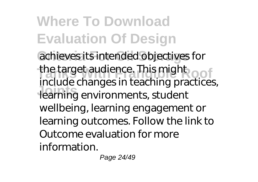**Where To Download Evaluation Of Design** achieves its intended objectives for the target audience. This might oof **Joints** learning environments, student include changes in teaching practices, wellbeing, learning engagement or learning outcomes. Follow the link to Outcome evaluation for more information.

Page 24/49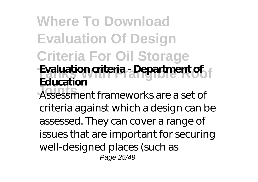### **Where To Download Evaluation Of Design Criteria For Oil Storage**

**Tanks With Frangible Roof Evaluation criteria - Department of Education**

**Joints** Assessment frameworks are a set of criteria against which a design can be assessed. They can cover a range of issues that are important for securing well-designed places (such as Page 25/49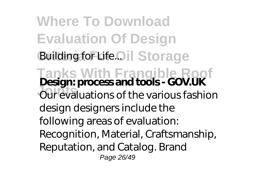**Where To Download Evaluation Of Design** Building for Life.Oil Storage **Tanks With Frangible Roof Design: process and tools - GOV.UK Dougle processed to the various fashion** design designers include the following areas of evaluation: Recognition, Material, Craftsmanship, Reputation, and Catalog. Brand Page 26/49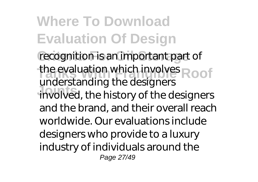**Where To Download Evaluation Of Design** recognition is an important part of the evaluation which involves Roof **Joints** involved, the history of the designers understanding the designers and the brand, and their overall reach worldwide. Our evaluations include designers who provide to a luxury industry of individuals around the Page 27/49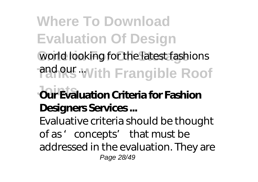## **Where To Download Evaluation Of Design** world looking for the latest fashions **Tanks With Frangible Roof**

### **Joints Our Evaluation Criteria for Fashion Designers Services ...**

Evaluative criteria should be thought of as 'concepts' that must be addressed in the evaluation. They are Page 28/49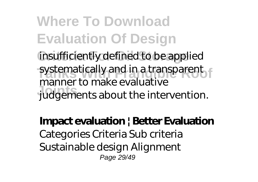**Where To Download Evaluation Of Design** insufficiently defined to be applied systematically and in a transparent **Joints** judgements about the intervention. manner to make evaluative

**Impact evaluation | Better Evaluation** Categories Criteria Sub criteria Sustainable design Alignment Page 29/49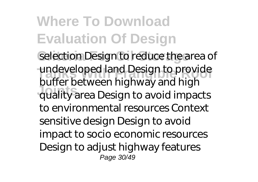**Where To Download Evaluation Of Design** selection Design to reduce the area of undeveloped land Design to provide **Joints** quality area Design to avoid impacts buffer between highway and high to environmental resources Context sensitive design Design to avoid impact to socio economic resources Design to adjust highway features Page 30/49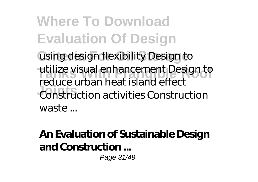**Where To Download Evaluation Of Design Criteria For Oil Storage** using design flexibility Design to utilize visual enhancement Design to **Joints** Construction activities Construction reduce urban heat island effect waste ...

#### **An Evaluation of Sustainable Design and Construction ...**

Page 31/49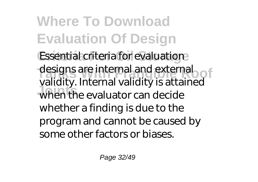**Where To Download Evaluation Of Design** Essential criteria for evaluation designs are internal and external of when the evaluator can decide validity. Internal validity is attained whether a finding is due to the program and cannot be caused by some other factors or biases.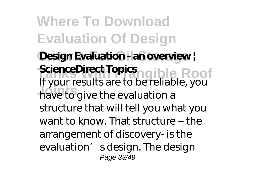**Where To Download Evaluation Of Design Design Evaluation - an overview | ScienceDirect Topics** ngible Roof **Joints** have to give the evaluation a If your results are to be reliable, you structure that will tell you what you want to know. That structure – the arrangement of discovery- is the evaluation' sdesign. The design Page 33/49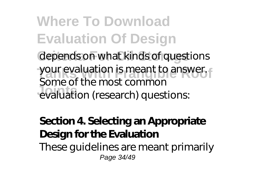**Where To Download Evaluation Of Design** depends on what kinds of questions your evaluation is meant to answer. **Joints** evaluation (research) questions: Some of the most common

**Section 4. Selecting an Appropriate Design for the Evaluation** These guidelines are meant primarily

Page 34/49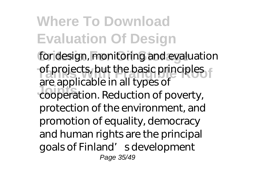**Where To Download Evaluation Of Design** for design, monitoring and evaluation of projects, but the basic principles **Joints** cooperation. Reduction of poverty, are applicable in all types of protection of the environment, and promotion of equality, democracy and human rights are the principal goals of Finland' sdevelopment Page 35/49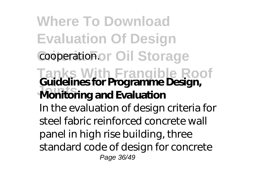**Where To Download Evaluation Of Design cooperation.or Oil Storage Tanks With Frangible Roof Guidelines for Programme Design, Joints Monitoring and Evaluation** In the evaluation of design criteria for steel fabric reinforced concrete wall panel in high rise building, three standard code of design for concrete Page 36/49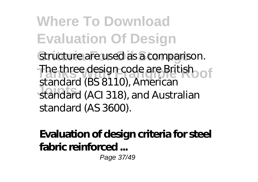**Where To Download Evaluation Of Design** structure are used as a comparison. The three design code are British<sub>oof</sub> **Joints** standard (ACI 318), and Australian standard (BS 8110), American standard (AS 3600).

#### **Evaluation of design criteria for steel fabric reinforced ...**

Page 37/49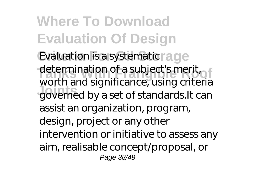**Where To Download Evaluation Of Design** Evaluation is a systematic rage determination of a subject's merit, of **Joints** governed by a set of standards.It can worth and significance, using criteria assist an organization, program, design, project or any other intervention or initiative to assess any aim, realisable concept/proposal, or Page 38/49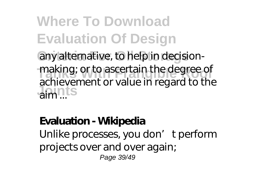**Where To Download Evaluation Of Design** any alternative, to help in decisionmaking; or to ascertain the degree of **Joints** aim ... achievement or value in regard to the

### **Evaluation - Wikipedia**

Unlike processes, you don' t perform projects over and over again; Page 39/49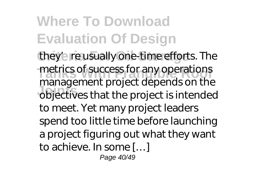**Where To Download Evaluation Of Design** they'e re usually one-time efforts. The metrics of success for any operations **Joints** objectives that the project is intended management project depends on the to meet. Yet many project leaders spend too little time before launching a project figuring out what they want to achieve. In some […] Page 40/49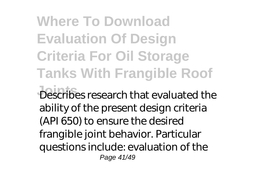**Where To Download Evaluation Of Design Criteria For Oil Storage Tanks With Frangible Roof Joints** Describes research that evaluated the ability of the present design criteria (API 650) to ensure the desired frangible joint behavior. Particular questions include: evaluation of the Page 41/49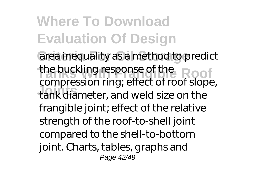**Where To Download Evaluation Of Design** area inequality as a method to predict the buckling response of the Roof **Joints** tank diameter, and weld size on the compression ring; effect of roof slope, frangible joint; effect of the relative strength of the roof-to-shell joint compared to the shell-to-bottom joint. Charts, tables, graphs and Page 42/49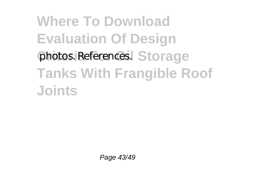**Where To Download Evaluation Of Design** photos. References. Storage **Tanks With Frangible Roof Joints**

Page 43/49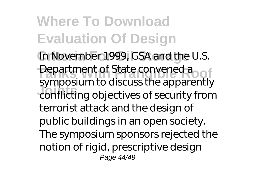**Where To Download Evaluation Of Design** In November 1999, GSA and the U.S. **Department of State convened application Joints** conflicting objectives of security from symposium to discuss the apparently terrorist attack and the design of public buildings in an open society. The symposium sponsors rejected the notion of rigid, prescriptive design Page 44/49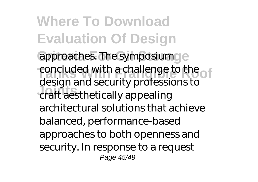**Where To Download Evaluation Of Design** approaches. The symposium<sub>Sie</sub> concluded with a challenge to the of **Joints** craft aesthetically appealing design and security professions to architectural solutions that achieve balanced, performance-based approaches to both openness and security. In response to a request Page 45/49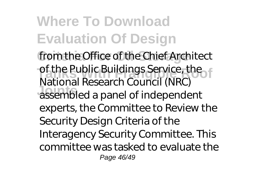**Where To Download Evaluation Of Design** from the Office of the Chief Architect of the Public Buildings Service, the **Joints** assembled a panel of independent National Research Council (NRC) experts, the Committee to Review the Security Design Criteria of the Interagency Security Committee. This committee was tasked to evaluate the Page 46/49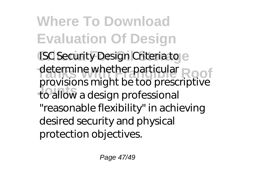**Where To Download Evaluation Of Design ISC Security Design Criteria to e** determine whether particular Roof **Joints** to allow a design professional provisions might be too prescriptive "reasonable flexibility" in achieving desired security and physical protection objectives.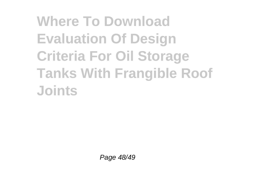### **Where To Download Evaluation Of Design Criteria For Oil Storage Tanks With Frangible Roof Joints**

Page 48/49